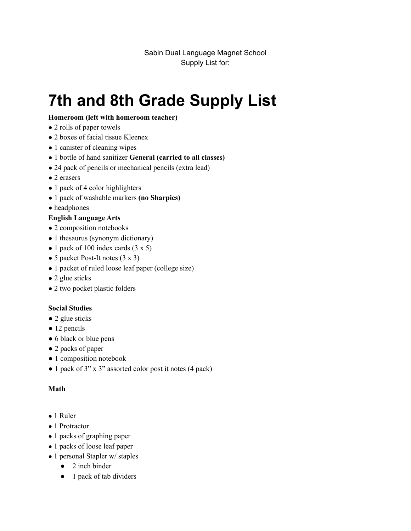Sabin Dual Language Magnet School Supply List for:

# **7th and 8th Grade Supply List**

#### **Homeroom (left with homeroom teacher)**

- 2 rolls of paper towels
- 2 boxes of facial tissue Kleenex
- 1 canister of cleaning wipes
- 1 bottle of hand sanitizer **General (carried to all classes)**
- 24 pack of pencils or mechanical pencils (extra lead)
- 2 erasers
- 1 pack of 4 color highlighters
- 1 pack of washable markers **(no Sharpies)**
- headphones

### **English Language Arts**

- 2 composition notebooks
- 1 thesaurus (synonym dictionary)
- $\bullet$  1 pack of 100 index cards (3 x 5)
- 5 packet Post-It notes  $(3 \times 3)$
- 1 packet of ruled loose leaf paper (college size)
- 2 glue sticks
- 2 two pocket plastic folders

### **Social Studies**

- 2 glue sticks
- 12 pencils
- 6 black or blue pens
- 2 packs of paper
- 1 composition notebook
- 1 pack of 3" x 3" assorted color post it notes (4 pack)

#### **Math**

- 1 Ruler
- 1 Protractor
- 1 packs of graphing paper
- 1 packs of loose leaf paper
- 1 personal Stapler w/ staples
	- $\bullet$  2 inch binder
	- 1 pack of tab dividers